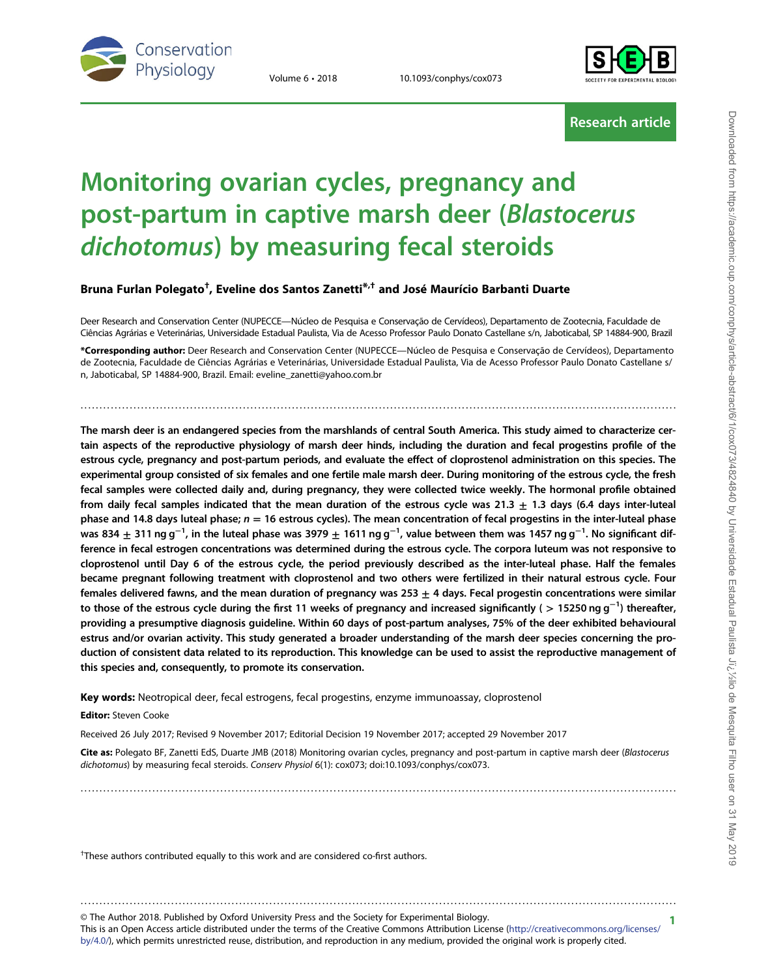

Volume 6 • 2018 10.1093/conphys/cox073



Research article

# Monitoring ovarian cycles, pregnancy and post-partum in captive marsh deer (Blastocerus dichotomus) by measuring fecal steroids

Bruna Furlan Polegato<sup>†</sup>, Eveline dos Santos Zanetti<sup>\*,†</sup> and José Maurício Barbanti Duarte

Deer Research and Conservation Center (NUPECCE—Núcleo de Pesquisa e Conservação de Cervídeos), Departamento de Zootecnia, Faculdade de Ciências Agrárias e Veterinárias, Universidade Estadual Paulista, Via de Acesso Professor Paulo Donato Castellane s/n, Jaboticabal, SP 14884-900, Brazil

\*Corresponding author: Deer Research and Conservation Center (NUPECCE—Núcleo de Pesquisa e Conservação de Cervídeos), Departamento de Zootecnia, Faculdade de Ciências Agrárias e Veterinárias, Universidade Estadual Paulista, Via de Acesso Professor Paulo Donato Castellane s/ n, Jaboticabal, SP 14884-900, Brazil. Email: eveline\_zanetti@yahoo.com.br

..............................................................................................................................................................

The marsh deer is an endangered species from the marshlands of central South America. This study aimed to characterize certain aspects of the reproductive physiology of marsh deer hinds, including the duration and fecal progestins profile of the estrous cycle, pregnancy and post-partum periods, and evaluate the effect of cloprostenol administration on this species. The experimental group consisted of six females and one fertile male marsh deer. During monitoring of the estrous cycle, the fresh fecal samples were collected daily and, during pregnancy, they were collected twice weekly. The hormonal profile obtained from daily fecal samples indicated that the mean duration of the estrous cycle was 21.3  $\pm$  1.3 days (6.4 days inter-luteal phase and 14.8 days luteal phase;  $n = 16$  estrous cycles). The mean concentration of fecal progestins in the inter-luteal phase was 834  $\pm$  311 ng g $^{-1}$ , in the luteal phase was 3979  $\pm$  1611 ng g $^{-1}$ , value between them was 1457 ng g $^{-1}$ . No significant difference in fecal estrogen concentrations was determined during the estrous cycle. The corpora luteum was not responsive to cloprostenol until Day 6 of the estrous cycle, the period previously described as the inter-luteal phase. Half the females became pregnant following treatment with cloprostenol and two others were fertilized in their natural estrous cycle. Four females delivered fawns, and the mean duration of pregnancy was  $253 \pm 4$  days. Fecal progestin concentrations were similar to those of the estrous cycle during the first 11 weeks of pregnancy and increased significantly (  $>$  15250 ng g $^{-1}$ ) thereafter, providing a presumptive diagnosis guideline. Within 60 days of post-partum analyses, 75% of the deer exhibited behavioural estrus and/or ovarian activity. This study generated a broader understanding of the marsh deer species concerning the production of consistent data related to its reproduction. This knowledge can be used to assist the reproductive management of this species and, consequently, to promote its conservation.

Key words: Neotropical deer, fecal estrogens, fecal progestins, enzyme immunoassay, cloprostenol

#### Editor: Steven Cooke

Received 26 July 2017; Revised 9 November 2017; Editorial Decision 19 November 2017; accepted 29 November 2017

Cite as: Polegato BF, Zanetti EdS, Duarte JMB (2018) Monitoring ovarian cycles, pregnancy and post-partum in captive marsh deer (Blastocerus dichotomus) by measuring fecal steroids. Conserv Physiol 6(1): cox073; doi:10.1093/conphys/cox073.

..............................................................................................................................................................

<sup>†</sup>These authors contributed equally to this work and are considered co-first authors.

1 © The Author 2018. Published by Oxford University Press and the Society for Experimental Biology.

This is an Open Access article distributed under the terms of the Creative Commons Attribution License [\(http://creativecommons.org/licenses/](http://creativecommons.org/licenses/by/4.0/) [by/4.0/](http://creativecommons.org/licenses/by/4.0/)), which permits unrestricted reuse, distribution, and reproduction in any medium, provided the original work is properly cited.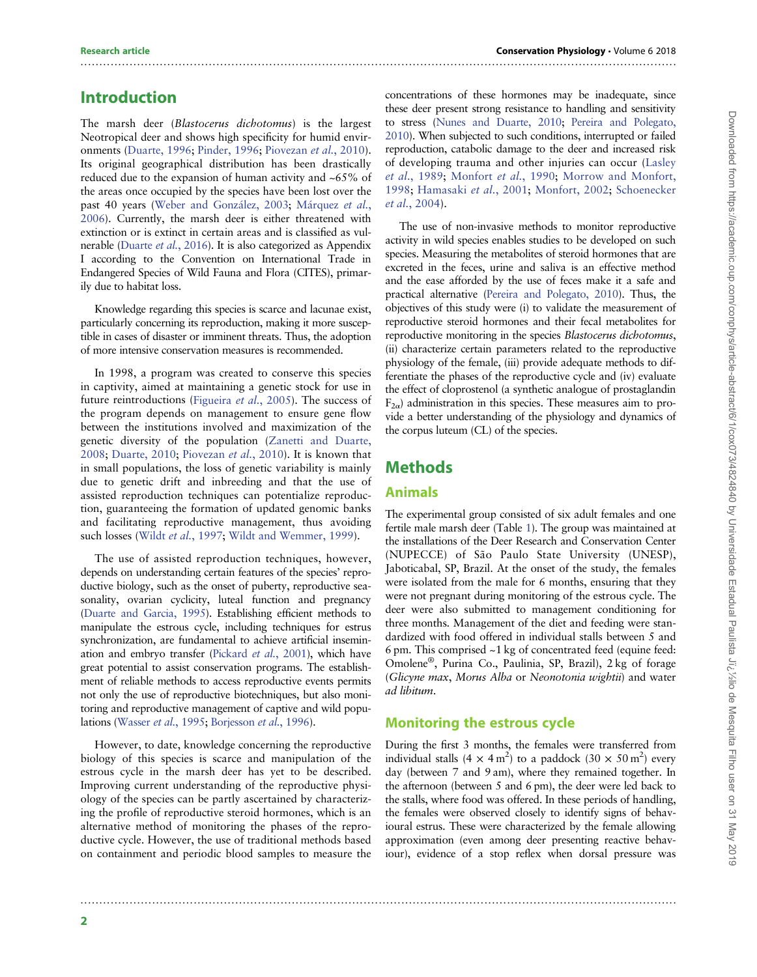# Introduction

The marsh deer (Blastocerus dichotomus) is the largest Neotropical deer and shows high specificity for humid environments [\(Duarte, 1996;](#page-9-0) [Pinder, 1996;](#page-9-0) [Piovezan](#page-9-0) et al., 2010). Its original geographical distribution has been drastically reduced due to the expansion of human activity and ~65% of the areas once occupied by the species have been lost over the past 40 years [\(Weber and González, 2003](#page-10-0); [Márquez](#page-9-0) et al., [2006\)](#page-9-0). Currently, the marsh deer is either threatened with extinction or is extinct in certain areas and is classified as vulnerable ([Duarte](#page-9-0) et al., 2016). It is also categorized as Appendix I according to the Convention on International Trade in Endangered Species of Wild Fauna and Flora (CITES), primarily due to habitat loss.

Knowledge regarding this species is scarce and lacunae exist, particularly concerning its reproduction, making it more susceptible in cases of disaster or imminent threats. Thus, the adoption of more intensive conservation measures is recommended.

In 1998, a program was created to conserve this species in captivity, aimed at maintaining a genetic stock for use in future reintroductions [\(Figueira](#page-9-0) et al., 2005). The success of the program depends on management to ensure gene flow between the institutions involved and maximization of the genetic diversity of the population [\(Zanetti and Duarte,](#page-10-0) [2008](#page-10-0); [Duarte, 2010](#page-9-0); [Piovezan](#page-9-0) et al., 2010). It is known that in small populations, the loss of genetic variability is mainly due to genetic drift and inbreeding and that the use of assisted reproduction techniques can potentialize reproduction, guaranteeing the formation of updated genomic banks and facilitating reproductive management, thus avoiding such losses (Wildt et al.[, 1997](#page-10-0); [Wildt and Wemmer, 1999](#page-10-0)).

The use of assisted reproduction techniques, however, depends on understanding certain features of the species' reproductive biology, such as the onset of puberty, reproductive seasonality, ovarian cyclicity, luteal function and pregnancy [\(Duarte and Garcia, 1995](#page-8-0)). Establishing efficient methods to manipulate the estrous cycle, including techniques for estrus synchronization, are fundamental to achieve artificial insemination and embryo transfer [\(Pickard](#page-9-0) et al., 2001), which have great potential to assist conservation programs. The establishment of reliable methods to access reproductive events permits not only the use of reproductive biotechniques, but also monitoring and reproductive management of captive and wild populations [\(Wasser](#page-10-0) et al., 1995; [Borjesson](#page-8-0) et al., 1996).

However, to date, knowledge concerning the reproductive biology of this species is scarce and manipulation of the estrous cycle in the marsh deer has yet to be described. Improving current understanding of the reproductive physiology of the species can be partly ascertained by characterizing the profile of reproductive steroid hormones, which is an alternative method of monitoring the phases of the reproductive cycle. However, the use of traditional methods based on containment and periodic blood samples to measure the

concentrations of these hormones may be inadequate, since these deer present strong resistance to handling and sensitivity to stress [\(Nunes and Duarte, 2010;](#page-9-0) [Pereira and Polegato,](#page-9-0) [2010\)](#page-9-0). When subjected to such conditions, interrupted or failed reproduction, catabolic damage to the deer and increased risk of developing trauma and other injuries can occur [\(Lasley](#page-9-0) et al.[, 1989;](#page-9-0) [Monfort](#page-9-0) et al., 1990; [Morrow and Monfort,](#page-9-0) [1998](#page-9-0); [Hamasaki](#page-9-0) et al., 2001; [Monfort, 2002;](#page-9-0) [Schoenecker](#page-10-0) et al.[, 2004](#page-10-0)).

The use of non-invasive methods to monitor reproductive activity in wild species enables studies to be developed on such species. Measuring the metabolites of steroid hormones that are excreted in the feces, urine and saliva is an effective method and the ease afforded by the use of feces make it a safe and practical alternative [\(Pereira and Polegato, 2010](#page-9-0)). Thus, the objectives of this study were (i) to validate the measurement of reproductive steroid hormones and their fecal metabolites for reproductive monitoring in the species Blastocerus dichotomus, (ii) characterize certain parameters related to the reproductive physiology of the female, (iii) provide adequate methods to differentiate the phases of the reproductive cycle and (iv) evaluate the effect of cloprostenol (a synthetic analogue of prostaglandin  $F_{2\alpha}$ ) administration in this species. These measures aim to provide a better understanding of the physiology and dynamics of the corpus luteum (CL) of the species.

## Methods

#### Animals

..............................................................................................................................................................

..............................................................................................................................................................

The experimental group consisted of six adult females and one fertile male marsh deer (Table [1](#page-2-0)). The group was maintained at the installations of the Deer Research and Conservation Center (NUPECCE) of São Paulo State University (UNESP), Jaboticabal, SP, Brazil. At the onset of the study, the females were isolated from the male for 6 months, ensuring that they were not pregnant during monitoring of the estrous cycle. The deer were also submitted to management conditioning for three months. Management of the diet and feeding were standardized with food offered in individual stalls between 5 and 6 pm. This comprised ~1 kg of concentrated feed (equine feed: Omolene®, Purina Co., Paulinia, SP, Brazil), 2 kg of forage (Glicyne max, Morus Alba or Neonotonia wightii) and water ad libitum.

#### Monitoring the estrous cycle

During the first 3 months, the females were transferred from individual stalls  $(4 \times 4 \text{ m}^2)$  to a paddock  $(30 \times 50 \text{ m}^2)$  every day (between 7 and 9 am), where they remained together. In the afternoon (between 5 and 6 pm), the deer were led back to the stalls, where food was offered. In these periods of handling, the females were observed closely to identify signs of behavioural estrus. These were characterized by the female allowing approximation (even among deer presenting reactive behaviour), evidence of a stop reflex when dorsal pressure was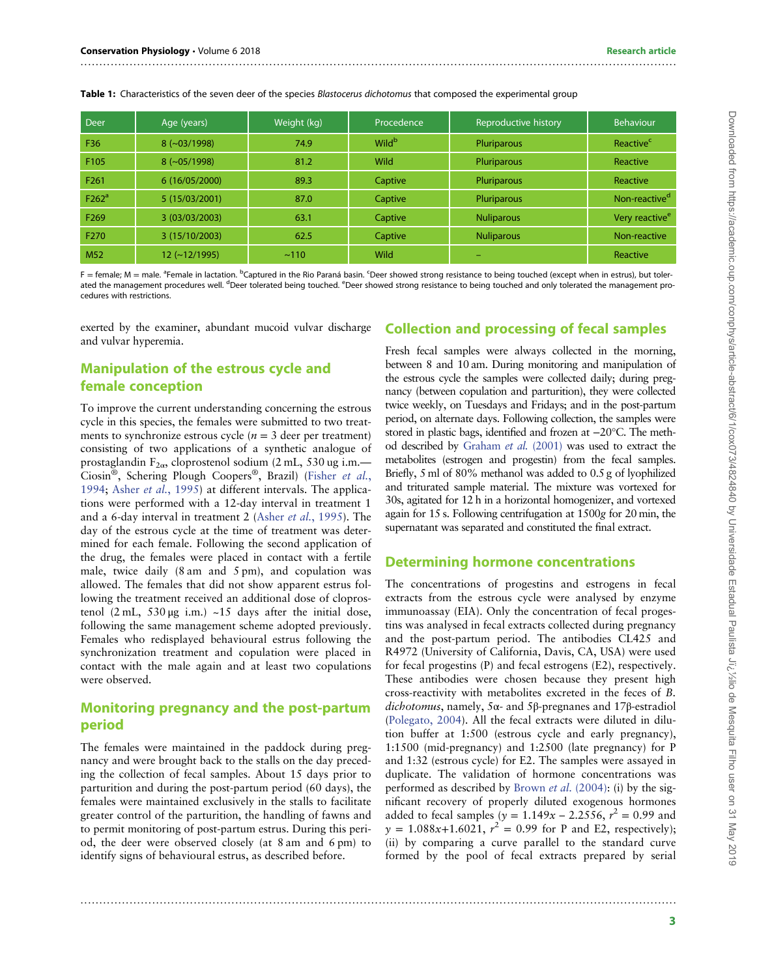Table 1: Characteristics of the seven deer of the species Blastocerus dichotomus that composed the experimental group

| <b>Deer</b>       | Age (years)     | Weight (kg) | Procedence                              | Reproductive history | <b>Behaviour</b>           |  |
|-------------------|-----------------|-------------|-----------------------------------------|----------------------|----------------------------|--|
| F36               | $8 (-03/1998)$  | 74.9        | <b>Wild</b> <sup>b</sup><br>Pluriparous |                      | Reactive <sup>c</sup>      |  |
| F105              | $8(-05/1998)$   | 81.2        | Wild                                    | Pluriparous          |                            |  |
| F261              | 6 (16/05/2000)  | 89.3        | Captive                                 | Pluriparous          | Reactive                   |  |
| F262 <sup>a</sup> | 5 (15/03/2001)  | 87.0        | Captive                                 | Pluriparous          | Non-reactive <sup>d</sup>  |  |
| F <sub>269</sub>  | 3 (03/03/2003)  | 63.1        | Captive                                 | <b>Nuliparous</b>    | Very reactive <sup>e</sup> |  |
| F <sub>270</sub>  | 3 (15/10/2003)  | 62.5        | Captive                                 | <b>Nuliparous</b>    | Non-reactive               |  |
| M <sub>52</sub>   | $12$ (~12/1995) | ~110        | Wild                                    |                      | Reactive                   |  |

<span id="page-2-0"></span>..............................................................................................................................................................

F = female; M = male. <sup>a</sup>Female in lactation. <sup>b</sup>Captured in the Rio Paraná basin. <sup>c</sup>Deer showed strong resistance to being touched (except when in estrus), but tolerated the management procedures well. <sup>d</sup>Deer tolerated being touched. <sup>e</sup>Deer showed strong resistance to being touched and only tolerated the management procedures with restrictions.

..............................................................................................................................................................

exerted by the examiner, abundant mucoid vulvar discharge and vulvar hyperemia.

## Manipulation of the estrous cycle and female conception

To improve the current understanding concerning the estrous cycle in this species, the females were submitted to two treatments to synchronize estrous cycle ( $n = 3$  deer per treatment) consisting of two applications of a synthetic analogue of prostaglandin  $F_{2\alpha}$ , cloprostenol sodium (2 mL, 530 ug i.m.— Ciosin®, Schering Plough Coopers®, Brazil) [\(Fisher](#page-9-0) et al., [1994](#page-9-0); Asher et al.[, 1995](#page-8-0)) at different intervals. The applications were performed with a 12-day interval in treatment 1 and a 6-day interval in treatment 2 (Asher et al.[, 1995](#page-8-0)). The day of the estrous cycle at the time of treatment was determined for each female. Following the second application of the drug, the females were placed in contact with a fertile male, twice daily (8 am and 5 pm), and copulation was allowed. The females that did not show apparent estrus following the treatment received an additional dose of cloprostenol  $(2 \text{ mL}, 530 \mu\text{g} \text{ i.m.}) \sim 15 \text{ days after the initial dose,}$ following the same management scheme adopted previously. Females who redisplayed behavioural estrus following the synchronization treatment and copulation were placed in contact with the male again and at least two copulations were observed.

## Monitoring pregnancy and the post-partum period

The females were maintained in the paddock during pregnancy and were brought back to the stalls on the day preceding the collection of fecal samples. About 15 days prior to parturition and during the post-partum period (60 days), the females were maintained exclusively in the stalls to facilitate greater control of the parturition, the handling of fawns and to permit monitoring of post-partum estrus. During this period, the deer were observed closely (at 8 am and 6 pm) to identify signs of behavioural estrus, as described before.

#### Collection and processing of fecal samples

Fresh fecal samples were always collected in the morning, between 8 and 10 am. During monitoring and manipulation of the estrous cycle the samples were collected daily; during pregnancy (between copulation and parturition), they were collected twice weekly, on Tuesdays and Fridays; and in the post-partum period, on alternate days. Following collection, the samples were stored in plastic bags, identified and frozen at −20°C. The method described by [Graham](#page-9-0) et al. (2001) was used to extract the metabolites (estrogen and progestin) from the fecal samples. Briefly, 5 ml of 80% methanol was added to 0.5 g of lyophilized and triturated sample material. The mixture was vortexed for 30s, agitated for 12 h in a horizontal homogenizer, and vortexed again for 15 s. Following centrifugation at 1500g for 20 min, the supernatant was separated and constituted the final extract.

#### Determining hormone concentrations

The concentrations of progestins and estrogens in fecal extracts from the estrous cycle were analysed by enzyme immunoassay (EIA). Only the concentration of fecal progestins was analysed in fecal extracts collected during pregnancy and the post-partum period. The antibodies CL425 and R4972 (University of California, Davis, CA, USA) were used for fecal progestins (P) and fecal estrogens (E2), respectively. These antibodies were chosen because they present high cross-reactivity with metabolites excreted in the feces of B. dichotomus, namely, 5α- and 5β-pregnanes and 17β-estradiol ([Polegato, 2004\)](#page-10-0). All the fecal extracts were diluted in dilution buffer at 1:500 (estrous cycle and early pregnancy), 1:1500 (mid-pregnancy) and 1:2500 (late pregnancy) for P and 1:32 (estrous cycle) for E2. The samples were assayed in duplicate. The validation of hormone concentrations was performed as described by [Brown](#page-8-0) et al. (2004): (i) by the significant recovery of properly diluted exogenous hormones added to fecal samples ( $y = 1.149x - 2.2556$ ,  $r^2 = 0.99$  and  $y = 1.088x + 1.6021$ ,  $r^2 = 0.99$  for P and E2, respectively); (ii) by comparing a curve parallel to the standard curve formed by the pool of fecal extracts prepared by serial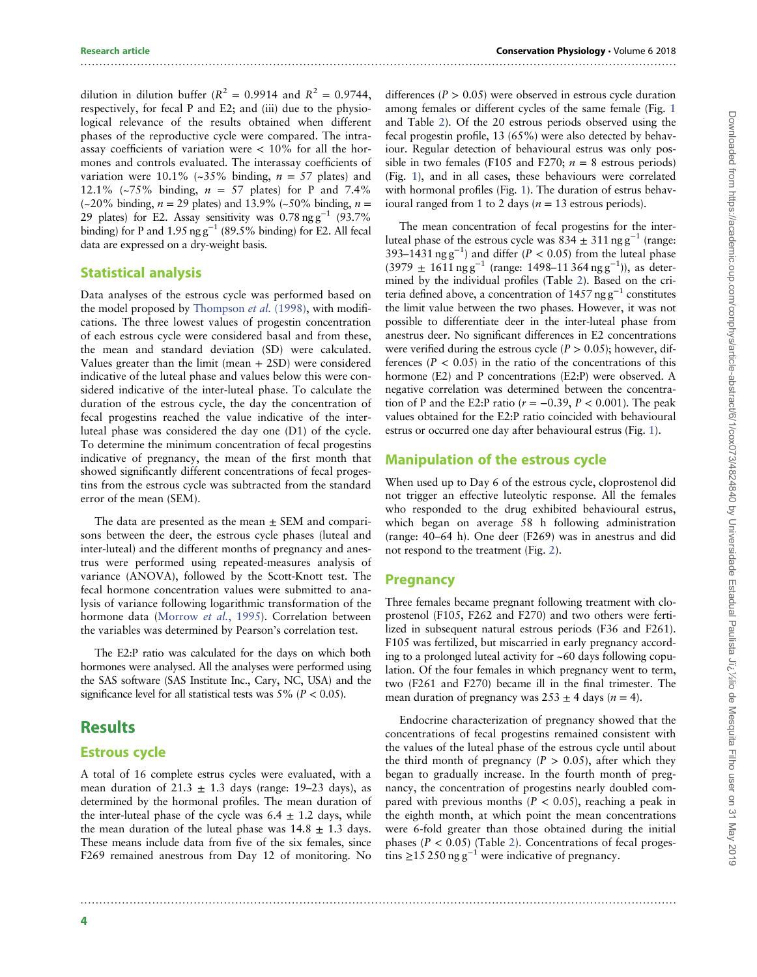dilution in dilution buffer  $(R^2 = 0.9914$  and  $R^2 = 0.9744$ , respectively, for fecal P and E2; and (iii) due to the physiological relevance of the results obtained when different phases of the reproductive cycle were compared. The intraassay coefficients of variation were  $< 10\%$  for all the hormones and controls evaluated. The interassay coefficients of variation were 10.1% ( $\sim$ 35% binding,  $n = 57$  plates) and 12.1% ( $\approx$  75% binding,  $n = 57$  plates) for P and 7.4%  $(-20\% \text{ binding}, n = 29 \text{ plates})$  and 13.9%  $(-50\% \text{ binding}, n = 10\%)$ 29 plates) for E2. Assay sensitivity was  $0.78$  ng g<sup>-1</sup> (93.7%) binding) for P and 1.95 ng  $g^{-1}$  (89.5% binding) for E2. All fecal data are expressed on a dry-weight basis.

## Statistical analysis

Data analyses of the estrous cycle was performed based on the model proposed by [Thompson](#page-10-0) et al. (1998), with modifications. The three lowest values of progestin concentration of each estrous cycle were considered basal and from these, the mean and standard deviation (SD) were calculated. Values greater than the limit (mean + 2SD) were considered indicative of the luteal phase and values below this were considered indicative of the inter-luteal phase. To calculate the duration of the estrous cycle, the day the concentration of fecal progestins reached the value indicative of the interluteal phase was considered the day one (D1) of the cycle. To determine the minimum concentration of fecal progestins indicative of pregnancy, the mean of the first month that showed significantly different concentrations of fecal progestins from the estrous cycle was subtracted from the standard error of the mean (SEM).

The data are presented as the mean  $\pm$  SEM and comparisons between the deer, the estrous cycle phases (luteal and inter-luteal) and the different months of pregnancy and anestrus were performed using repeated-measures analysis of variance (ANOVA), followed by the Scott-Knott test. The fecal hormone concentration values were submitted to analysis of variance following logarithmic transformation of the hormone data ([Morrow](#page-9-0) et al., 1995). Correlation between the variables was determined by Pearson's correlation test.

The E2:P ratio was calculated for the days on which both hormones were analysed. All the analyses were performed using the SAS software (SAS Institute Inc., Cary, NC, USA) and the significance level for all statistical tests was  $5\%$  ( $P < 0.05$ ).

## Results

#### Estrous cycle

A total of 16 complete estrus cycles were evaluated, with a mean duration of  $21.3 \pm 1.3$  days (range: 19–23 days), as determined by the hormonal profiles. The mean duration of the inter-luteal phase of the cycle was  $6.4 \pm 1.2$  days, while the mean duration of the luteal phase was  $14.8 \pm 1.3$  days. These means include data from five of the six females, since F269 remained anestrous from Day 12 of monitoring. No

differences ( $P > 0.05$ ) were observed in estrous cycle duration among females or different cycles of the same female (Fig. [1](#page-4-0) and Table [2\)](#page-5-0). Of the 20 estrous periods observed using the fecal progestin profile, 13 (65%) were also detected by behaviour. Regular detection of behavioural estrus was only possible in two females (F105 and F270;  $n = 8$  estrous periods) (Fig. [1](#page-4-0)), and in all cases, these behaviours were correlated with hormonal profiles (Fig. [1](#page-4-0)). The duration of estrus behavioural ranged from 1 to 2 days ( $n = 13$  estrous periods).

The mean concentration of fecal progestins for the interluteal phase of the estrous cycle was  $834 \pm 311$  ng g<sup>-1</sup> (range: 393–1431 ng g<sup>-1</sup>) and differ ( $P < 0.05$ ) from the luteal phase  $(3979 \pm 1611 \text{ ng g}^{-1}$  (range: 1498–11 364 ng g<sup>-1</sup>)), as determined by the individual profiles (Table [2\)](#page-5-0). Based on the criteria defined above, a concentration of  $1457$  ng g<sup>-1</sup> constitutes the limit value between the two phases. However, it was not possible to differentiate deer in the inter-luteal phase from anestrus deer. No significant differences in E2 concentrations were verified during the estrous cycle  $(P > 0.05)$ ; however, differences  $(P < 0.05)$  in the ratio of the concentrations of this hormone (E2) and P concentrations (E2:P) were observed. A negative correlation was determined between the concentration of P and the E2:P ratio ( $r = -0.39$ ,  $P < 0.001$ ). The peak values obtained for the E2:P ratio coincided with behavioural estrus or occurred one day after behavioural estrus (Fig. [1\)](#page-4-0).

## Manipulation of the estrous cycle

When used up to Day 6 of the estrous cycle, cloprostenol did not trigger an effective luteolytic response. All the females who responded to the drug exhibited behavioural estrus, which began on average 58 h following administration (range: 40–64 h). One deer (F269) was in anestrus and did not respond to the treatment (Fig. [2](#page-6-0)).

## **Pregnancy**

..............................................................................................................................................................

..............................................................................................................................................................

Three females became pregnant following treatment with cloprostenol (F105, F262 and F270) and two others were fertilized in subsequent natural estrous periods (F36 and F261). F105 was fertilized, but miscarried in early pregnancy according to a prolonged luteal activity for ~60 days following copulation. Of the four females in which pregnancy went to term, two (F261 and F270) became ill in the final trimester. The mean duration of pregnancy was  $253 \pm 4$  days ( $n = 4$ ).

Endocrine characterization of pregnancy showed that the concentrations of fecal progestins remained consistent with the values of the luteal phase of the estrous cycle until about the third month of pregnancy ( $P > 0.05$ ), after which they began to gradually increase. In the fourth month of pregnancy, the concentration of progestins nearly doubled compared with previous months ( $P < 0.05$ ), reaching a peak in the eighth month, at which point the mean concentrations were 6-fold greater than those obtained during the initial phases ( $P < 0.05$ ) (Table [2\)](#page-5-0). Concentrations of fecal progestins ≥15 250 ng  $g^{-1}$  were indicative of pregnancy.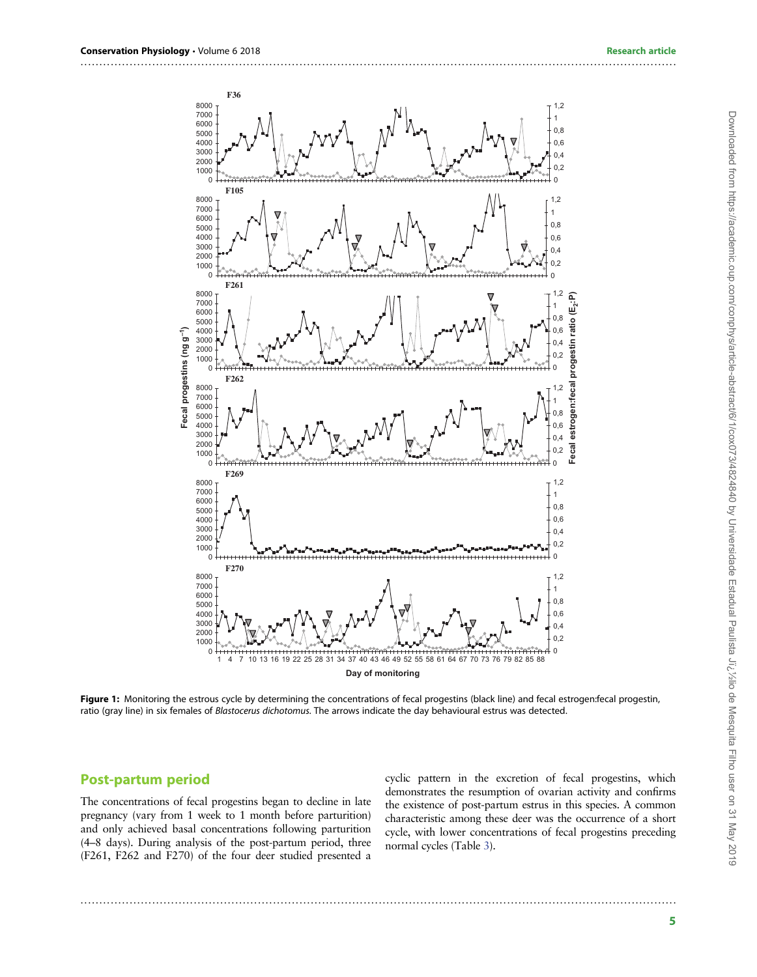

<span id="page-4-0"></span>..............................................................................................................................................................

Figure 1: Monitoring the estrous cycle by determining the concentrations of fecal progestins (black line) and fecal estrogen:fecal progestin, ratio (gray line) in six females of Blastocerus dichotomus. The arrows indicate the day behavioural estrus was detected.

..............................................................................................................................................................

## Post-partum period

The concentrations of fecal progestins began to decline in late pregnancy (vary from 1 week to 1 month before parturition) and only achieved basal concentrations following parturition (4–8 days). During analysis of the post-partum period, three (F261, F262 and F270) of the four deer studied presented a

cyclic pattern in the excretion of fecal progestins, which demonstrates the resumption of ovarian activity and confirms the existence of post-partum estrus in this species. A common characteristic among these deer was the occurrence of a short cycle, with lower concentrations of fecal progestins preceding normal cycles (Table [3](#page-6-0)).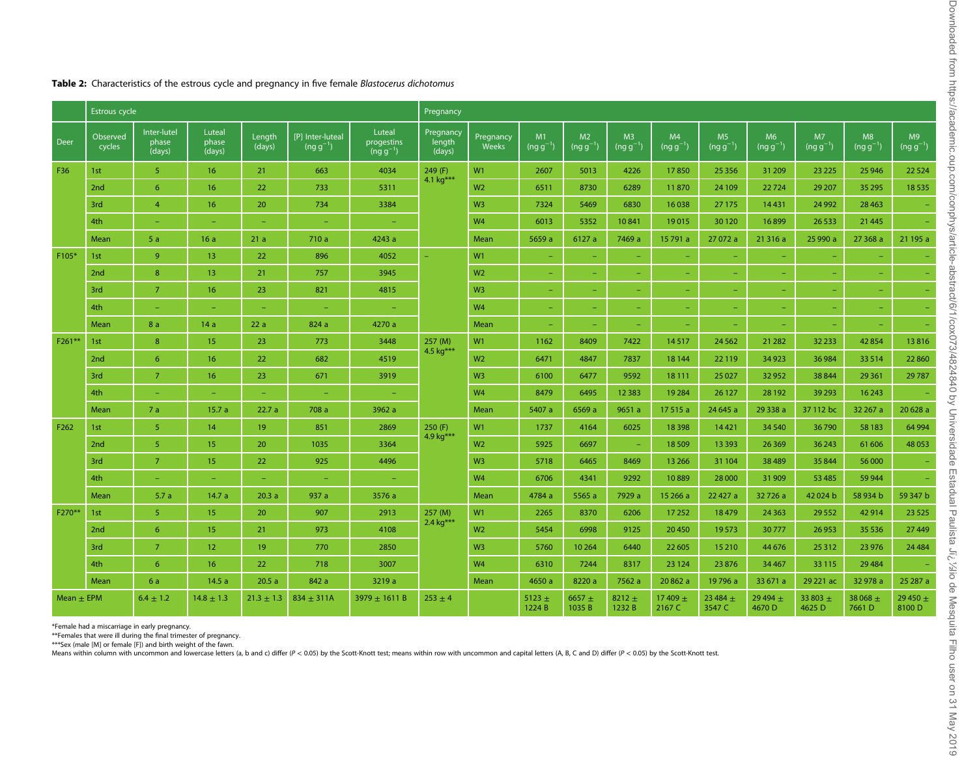|                | <b>Estrous cycle</b> |                                |                           |                  | Pregnancy                         |                                       |                               |                    |                      |                      |                      |                     |                        |                                 |                     |                     |                        |
|----------------|----------------------|--------------------------------|---------------------------|------------------|-----------------------------------|---------------------------------------|-------------------------------|--------------------|----------------------|----------------------|----------------------|---------------------|------------------------|---------------------------------|---------------------|---------------------|------------------------|
| Deer           | Observed<br>cycles   | Inter-lutel<br>phase<br>(days) | Luteal<br>phase<br>(days) | Length<br>(days) | [P] Inter-luteal<br>$(ng g^{-1})$ | Luteal<br>progestins<br>$(ng g^{-1})$ | Pregnancy<br>length<br>(days) | Pregnancy<br>Weeks | M1<br>$(ng g^{-1})$  | M2<br>$(ng g^{-1})$  | M3<br>$(ng g^{-1})$  | M4<br>$(ng g^{-1})$ | M5<br>$(ng g^{-1})$    | M <sub>6</sub><br>$(ng g^{-1})$ | M7<br>$(ng g^{-1})$ | M8<br>$(ng g^{-1})$ | M9<br>$(ng g^{-1})$    |
| F36            | 1st                  | 5 <sup>°</sup>                 | 16                        | 21               | 663                               | 4034                                  | 249 (F)<br>4.1 kg***          | W1                 | 2607                 | 5013                 | 4226                 | 17850               | 25 3 5 6               | 31 209                          | 23 2 25             | 25 9 46             | 22 5 24                |
|                | 2nd                  | 6                              | 16                        | 22               | 733                               | 5311                                  |                               | W <sub>2</sub>     | 6511                 | 8730                 | 6289                 | 11870               | 24 109                 | 22724                           | 29 20 7             | 35 295              | 18535                  |
|                | 3rd                  | $\overline{4}$                 | 16                        | 20               | 734                               | 3384                                  |                               | W <sub>3</sub>     | 7324                 | 5469                 | 6830                 | 16038               | 27 175                 | 14431                           | 24 9 92             | 28 4 63             | $\equiv$               |
|                | 4th                  | $\equiv$                       | $\equiv$                  | $\equiv$         | $\equiv$                          | $\rightarrow$                         |                               | W <sub>4</sub>     | 6013                 | 5352                 | 10841                | 19015               | 30 1 20                | 16899                           | 26 5 33             | 21 4 45             | Ξ.                     |
|                | Mean                 | 5a                             | 16a                       | 21a              | 710 a                             | 4243 a                                |                               | Mean               | 5659 a               | 6127 a               | 7469 a               | 15 791 a            | 27 072 a               | 21 316 a                        | 25 990 a            | 27 368 a            | 21 195 a               |
| F105*          | 1st                  | 9                              | 13                        | 22               | 896                               | 4052                                  | ÷.                            | W1                 | $\equiv$             | $\equiv$             | $\equiv$             | $\equiv$            | $\rightarrow$          | $\rightarrow$                   | $\rightarrow$       | $\equiv$            | ÷.                     |
|                | 2nd                  | 8                              | 13 <sup>°</sup>           | 21               | 757                               | 3945                                  |                               | W <sub>2</sub>     | $\equiv$             | $\equiv$             | $\equiv$             | $\equiv$            | ÷,                     | $\equiv$                        | $\equiv$            | $\equiv$            | ÷,                     |
|                | 3rd                  | $\overline{7}$                 | 16                        | 23               | 821                               | 4815                                  |                               | W <sub>3</sub>     | $\equiv$             | $\equiv$             | $\equiv$             | $\rightarrow$       | $\equiv$               | $\overline{\phantom{a}}$        | $\equiv$            | $\equiv$            |                        |
|                | 4th                  | $\equiv$                       | $\equiv$                  | $\equiv$         | $\rightarrow$                     | $\hspace{0.1cm} -$                    |                               | W <sub>4</sub>     | $\equiv$             | $\equiv$             | $\equiv$             | $\rightarrow$       | $\rightarrow$          | $\rightarrow$                   | $\equiv$            | $\equiv$            |                        |
|                | Mean                 | 8a                             | 14a                       | 22a              | 824 a                             | 4270 a                                |                               | Mean               | $\equiv$             | $\rightarrow$        | $\rightarrow$        | $\rightarrow$       | $\rightarrow$          | $\equiv$                        | $\rightarrow$       | $\equiv$            |                        |
| F261**         | 1st                  | 8                              | 15                        | 23               | 773                               | 3448                                  | 257 (M)<br>4.5 kg***          | W1                 | 1162                 | 8409                 | 7422                 | 14517               | 24 5 62                | 21 2 8 2                        | 32 2 33             | 42854               | 13816                  |
|                | 2 <sub>nd</sub>      | 6                              | 16                        | 22               | 682                               | 4519                                  |                               | W <sub>2</sub>     | 6471                 | 4847                 | 7837                 | 18 144              | 22 119                 | 34 9 23                         | 36 984              | 33 5 14             | 22 860                 |
|                | 3rd                  | $\overline{7}$                 | 16                        | 23               | 671                               | 3919                                  |                               | W <sub>3</sub>     | 6100                 | 6477                 | 9592                 | 18 11 1             | 25 0 27                | 32 952                          | 38844               | 29 3 61             | 29 7 87                |
|                | 4th                  | ۳                              | ÷                         | $\equiv$         | $\equiv$                          | $\equiv$                              |                               | W4                 | 8479                 | 6495                 | 12 3 8 3             | 19 2 84             | 26 1 27                | 28 192                          | 39 29 3             | 16 243              | $\equiv$               |
|                | Mean                 | 7a                             | 15.7a                     | 22.7a            | 708 a                             | 3962 a                                |                               | Mean               | 5407 a               | 6569 a               | 9651a                | 17515a              | 24 645 a               | 29 338 a                        | 37 112 bc           | 32 267 a            | 20 628 a               |
| F262           | 1st                  | $\sqrt{5}$                     | 14                        | 19               | 851                               | 2869                                  | 250 (F)<br>4.9 kg***          | W1                 | 1737                 | 4164                 | 6025                 | 18398               | 14 4 21                | 34 5 40                         | 36790               | 58 183              | 64 9 94                |
|                | 2nd                  | $\sqrt{5}$                     | 15                        | 20               | 1035                              | 3364                                  |                               | W <sub>2</sub>     | 5925                 | 6697                 | $\rightarrow$        | 18509               | 13 3 93                | 26 3 69                         | 36 24 3             | 61 60 6             | 48 0 53                |
|                | 3rd                  | $\overline{7}$                 | 15                        | 22               | 925                               | 4496                                  |                               | W <sub>3</sub>     | 5718                 | 6465                 | 8469                 | 13 2 66             | 31 104                 | 38 4 89                         | 35 844              | 56 000              |                        |
|                | 4th                  |                                |                           |                  | $\equiv$                          | $\equiv$                              |                               | W <sub>4</sub>     | 6706                 | 4341                 | 9292                 | 10889               | 28 000                 | 31 909                          | 53 4 85             | 59 944              |                        |
|                | Mean                 | 5.7a                           | 14.7a                     | 20.3a            | 937 a                             | 3576 a                                |                               | Mean               | 4784 a               | 5565 a               | 7929 a               | 15 266 a            | 22 427 a               | 32726 a                         | 42024b              | 58 934 b            | 59 347 b               |
| F270**         | 1st                  | 5 <sup>1</sup>                 | 15                        | 20               | 907                               | 2913                                  | 257 (M)<br>2.4 kg***          | W1                 | 2265                 | 8370                 | 6206                 | 17 25 2             | 18479                  | 24 3 63                         | 29552               | 42 9 14             | 23 5 25                |
|                | 2nd                  | 6                              | 15                        | 21               | 973                               | 4108                                  |                               | W <sub>2</sub>     | 5454                 | 6998                 | 9125                 | 20 450              | 19573                  | 30777                           | 26 9 53             | 35 5 36             | 27 449                 |
|                | 3rd                  | $\overline{7}$                 | 12 <sup>2</sup>           | 19               | 770                               | 2850                                  |                               | W <sub>3</sub>     | 5760                 | 10 2 64              | 6440                 | 22 605              | 15 210                 | 44 67 6                         | 25312               | 23 976              | 24 4 84                |
|                | 4th                  | 6                              | 16                        | 22               | 718                               | 3007                                  |                               | W4                 | 6310                 | 7244                 | 8317                 | 23 1 24             | 23 876                 | 34 4 67                         | 33 115              | 29 4 84             | $\equiv$               |
|                | Mean                 | 6 a                            | 14.5a                     | 20.5a            | 842 a                             | 3219 a                                |                               | Mean               | 4650 a               | 8220 a               | 7562 a               | 20 862 a            | 19796 a                | 33 671 a                        | 29 221 ac           | 32 978 a            | 25 287 a               |
| Mean $\pm$ EPM |                      | $6.4 \pm 1.2$                  | $14.8 \pm 1.3$            | $21.3 \pm 1.3$   | $834 \pm 311A$                    | 3979 $\pm$ 1611 B                     | $253 \pm 4$                   |                    | 5123 $\pm$<br>1224 B | 6657 $\pm$<br>1035 B | 8212 $\pm$<br>1232 B | 17409 ±<br>2167 C   | 23 484 $\pm$<br>3547 C | 29 494 $\pm$<br>4670 D          | 33 803 ±<br>4625 D  | 38 068 ±<br>7661 D  | 29 450 $\pm$<br>8100 D |

#### <span id="page-5-0"></span>Table 2: Characteristics of the estrous cycle and pregnancy in five female Blastocerus dichotomus

\*Female had <sup>a</sup> miscarriage in early pregnancy.

\*\*Females that were ill during the final trimester of pregnancy.

\*\*\*Sex (male [M] or female [F]) and birth weight of the fawn.

Means within column with uncommon and lowercase letters (a, b and c) differ (P < 0.05) by the Scott-Knott test; means within row with uncommon and capital letters (A, B, C and D) differ (P < 0.05) by the Scott-Knott test.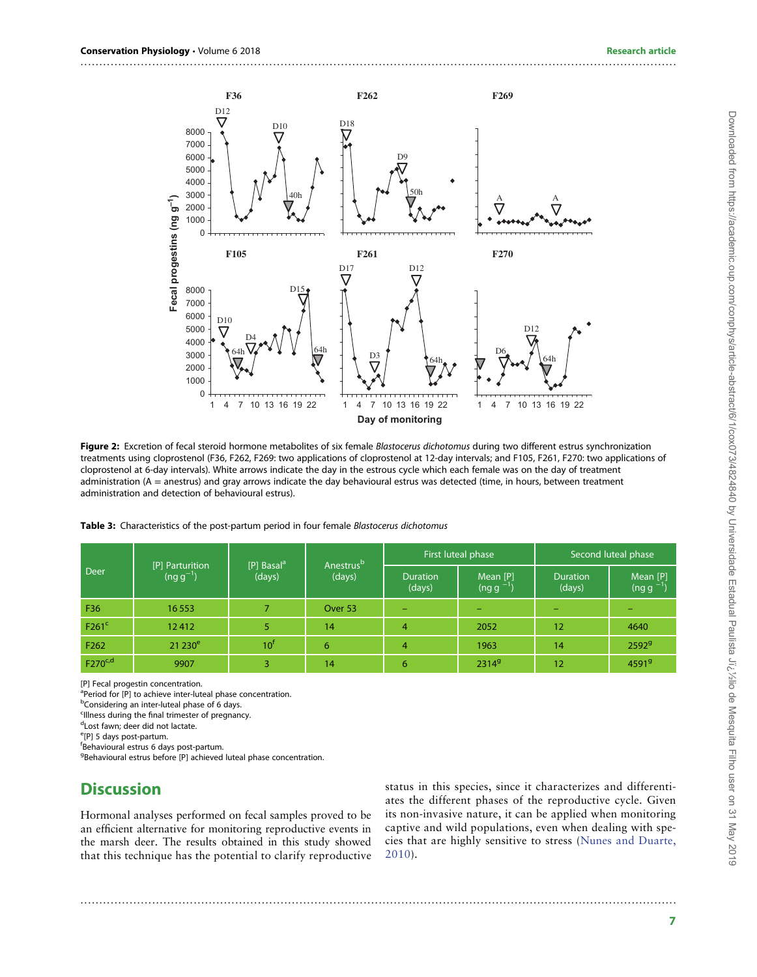<span id="page-6-0"></span>

Figure 2: Excretion of fecal steroid hormone metabolites of six female Blastocerus dichotomus during two different estrus synchronization treatments using cloprostenol (F36, F262, F269: two applications of cloprostenol at 12-day intervals; and F105, F261, F270: two applications of cloprostenol at 6-day intervals). White arrows indicate the day in the estrous cycle which each female was on the day of treatment administration (A = anestrus) and gray arrows indicate the day behavioural estrus was detected (time, in hours, between treatment administration and detection of behavioural estrus).

Table 3: Characteristics of the post-partum period in four female Blastocerus dichotomus

| Deer              |                                  |                          | Anestrusb |                           | First luteal phase        | Second luteal phase |                           |  |
|-------------------|----------------------------------|--------------------------|-----------|---------------------------|---------------------------|---------------------|---------------------------|--|
|                   | [P] Parturition<br>$(ng g^{-1})$ | [P] Basal $^a$<br>(days) | (days)    | <b>Duration</b><br>(days) | Mean [P]<br>$(ng g^{-1})$ | Duration<br>(days)  | Mean [P]<br>$(ng g^{-1})$ |  |
| F36               | 16553                            |                          | Over 53   | -                         |                           |                     |                           |  |
| F261 <sup>c</sup> | 12412                            |                          | 14        | $\overline{4}$            | 2052                      | 12                  | 4640                      |  |
| F262              | 21 230 <sup>e</sup>              | $10^{\text{f}}$          | 6         | $\overline{4}$            | 1963                      | 14                  | 2592 <sup>9</sup>         |  |
| $F270^{c,d}$      | 9907                             | 3                        | 14        | 6                         | $2314^9$                  | 12                  | 4591 <sup>9</sup>         |  |

..............................................................................................................................................................

[P] Fecal progestin concentration.

<sup>a</sup>Period for [P] to achieve inter-luteal phase concentration.

<sup>b</sup>Considering an inter-luteal phase of 6 days.

Fillness during the final trimester of pregnancy.

Lost fawn; deer did not lactate.

<sup>e</sup>[P] 5 days post-partum.

f Behavioural estrus 6 days post-partum.

<sup>9</sup>Behavioural estrus before [P] achieved luteal phase concentration.

# **Discussion**

Hormonal analyses performed on fecal samples proved to be an efficient alternative for monitoring reproductive events in the marsh deer. The results obtained in this study showed that this technique has the potential to clarify reproductive

status in this species, since it characterizes and differentiates the different phases of the reproductive cycle. Given its non-invasive nature, it can be applied when monitoring captive and wild populations, even when dealing with species that are highly sensitive to stress ([Nunes and Duarte,](#page-9-0) [2010](#page-9-0)).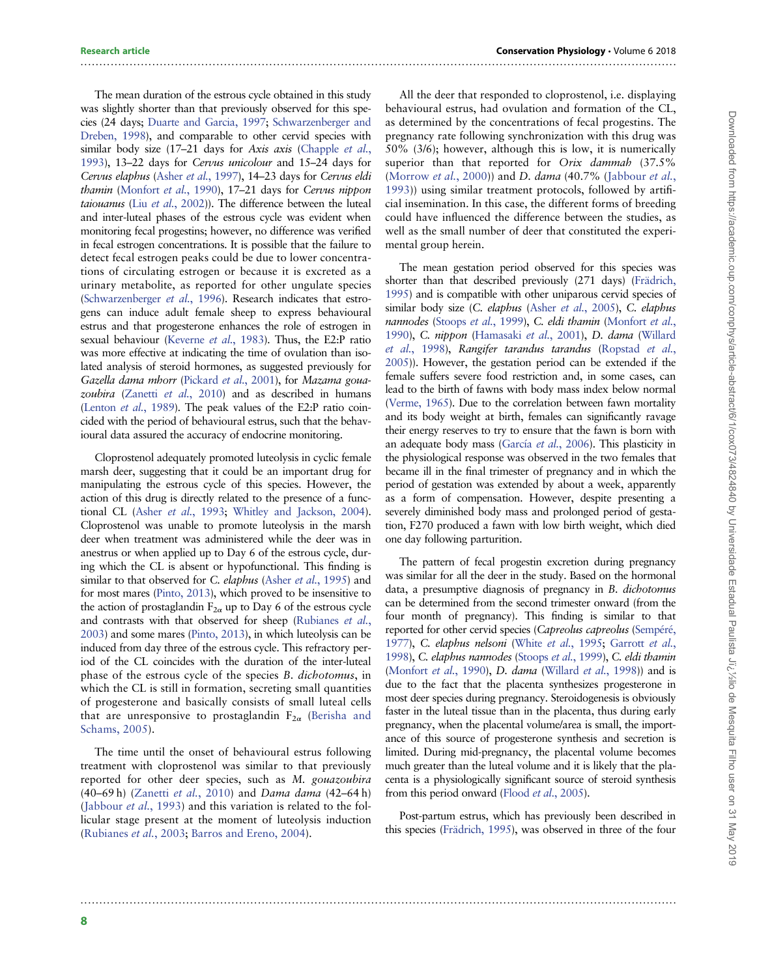The mean duration of the estrous cycle obtained in this study was slightly shorter than that previously observed for this species (24 days; [Duarte and Garcia, 1997](#page-8-0); [Schwarzenberger and](#page-10-0) [Dreben, 1998\)](#page-10-0), and comparable to other cervid species with similar body size (17–21 days for Axis axis [\(Chapple](#page-8-0) et al., [1993](#page-8-0)), 13–22 days for Cervus unicolour and 15–24 days for Cervus elaphus (Asher et al.[, 1997\)](#page-8-0), 14–23 days for Cervus eldi thamin [\(Monfort](#page-9-0) et al., 1990), 17-21 days for Cervus nippon taiouanus (Liu et al.[, 2002](#page-9-0))). The difference between the luteal and inter-luteal phases of the estrous cycle was evident when monitoring fecal progestins; however, no difference was verified in fecal estrogen concentrations. It is possible that the failure to detect fecal estrogen peaks could be due to lower concentrations of circulating estrogen or because it is excreted as a urinary metabolite, as reported for other ungulate species [\(Schwarzenberger](#page-10-0) et al., 1996). Research indicates that estrogens can induce adult female sheep to express behavioural estrus and that progesterone enhances the role of estrogen in sexual behaviour ([Keverne](#page-9-0) et al., 1983). Thus, the E2:P ratio was more effective at indicating the time of ovulation than isolated analysis of steroid hormones, as suggested previously for Gazella dama mhorr ([Pickard](#page-9-0) et al., 2001), for Mazama gouazoubira [\(Zanetti](#page-10-0) et al., 2010) and as described in humans [\(Lenton](#page-9-0) et al., 1989). The peak values of the E2:P ratio coincided with the period of behavioural estrus, such that the behavioural data assured the accuracy of endocrine monitoring.

Cloprostenol adequately promoted luteolysis in cyclic female marsh deer, suggesting that it could be an important drug for manipulating the estrous cycle of this species. However, the action of this drug is directly related to the presence of a func-tional CL (Asher et al.[, 1993;](#page-8-0) [Whitley and Jackson, 2004](#page-10-0)). Cloprostenol was unable to promote luteolysis in the marsh deer when treatment was administered while the deer was in anestrus or when applied up to Day 6 of the estrous cycle, during which the CL is absent or hypofunctional. This finding is similar to that observed for C. elaphus (Asher et al.[, 1995\)](#page-8-0) and for most mares ([Pinto, 2013](#page-9-0)), which proved to be insensitive to the action of prostaglandin  $F_{2\alpha}$  up to Day 6 of the estrous cycle and contrasts with that observed for sheep [\(Rubianes](#page-10-0) et al., [2003](#page-10-0)) and some mares ([Pinto, 2013](#page-9-0)), in which luteolysis can be induced from day three of the estrous cycle. This refractory period of the CL coincides with the duration of the inter-luteal phase of the estrous cycle of the species B. dichotomus, in which the CL is still in formation, secreting small quantities of progesterone and basically consists of small luteal cells that are unresponsive to prostaglandin  $F_{2\alpha}$  ([Berisha and](#page-8-0) [Schams, 2005\)](#page-8-0).

The time until the onset of behavioural estrus following treatment with cloprostenol was similar to that previously reported for other deer species, such as M. gouazoubira (40–69 h) ([Zanetti](#page-10-0) et al., 2010) and Dama dama (42–64 h) [\(Jabbour](#page-9-0) et al., 1993) and this variation is related to the follicular stage present at the moment of luteolysis induction [\(Rubianes](#page-10-0) et al., 2003; [Barros and Ereno, 2004](#page-8-0)).

All the deer that responded to cloprostenol, i.e. displaying behavioural estrus, had ovulation and formation of the CL, as determined by the concentrations of fecal progestins. The pregnancy rate following synchronization with this drug was 50% (3/6); however, although this is low, it is numerically superior than that reported for Orix dammah (37.5% ([Morrow](#page-9-0) et al., 2000)) and D. dama (40.7% ([Jabbour](#page-9-0) et al., [1993\)](#page-9-0)) using similar treatment protocols, followed by artificial insemination. In this case, the different forms of breeding could have influenced the difference between the studies, as well as the small number of deer that constituted the experimental group herein.

The mean gestation period observed for this species was shorter than that described previously (271 days) ([Frädrich,](#page-9-0) [1995\)](#page-9-0) and is compatible with other uniparous cervid species of similar body size (C. elaphus (Asher et al.[, 2005\)](#page-8-0), C. elaphus nannodes ([Stoops](#page-10-0) et al., 1999), C. eldi thamin [\(Monfort](#page-9-0) et al., [1990\)](#page-9-0), C. nippon [\(Hamasaki](#page-9-0) et al., 2001), D. dama [\(Willard](#page-10-0) et al.[, 1998](#page-10-0)), Rangifer tarandus tarandus [\(Ropstad](#page-10-0) et al., [2005\)](#page-10-0)). However, the gestation period can be extended if the female suffers severe food restriction and, in some cases, can lead to the birth of fawns with body mass index below normal ([Verme, 1965](#page-10-0)). Due to the correlation between fawn mortality and its body weight at birth, females can significantly ravage their energy reserves to try to ensure that the fawn is born with an adequate body mass [\(García](#page-9-0) et al., 2006). This plasticity in the physiological response was observed in the two females that became ill in the final trimester of pregnancy and in which the period of gestation was extended by about a week, apparently as a form of compensation. However, despite presenting a severely diminished body mass and prolonged period of gestation, F270 produced a fawn with low birth weight, which died one day following parturition.

The pattern of fecal progestin excretion during pregnancy was similar for all the deer in the study. Based on the hormonal data, a presumptive diagnosis of pregnancy in B. dichotomus can be determined from the second trimester onward (from the four month of pregnancy). This finding is similar to that reported for other cervid species (Capreolus capreolus [\(Sempéré,](#page-10-0) [1977\)](#page-10-0), C. elaphus nelsoni (White et al.[, 1995](#page-10-0); [Garrott](#page-9-0) et al., [1998\)](#page-9-0), C. elaphus nannodes [\(Stoops](#page-10-0) et al., 1999), C. eldi thamin [\(Monfort](#page-9-0) et al., 1990), D. dama [\(Willard](#page-10-0) et al., 1998)) and is due to the fact that the placenta synthesizes progesterone in most deer species during pregnancy. Steroidogenesis is obviously faster in the luteal tissue than in the placenta, thus during early pregnancy, when the placental volume/area is small, the importance of this source of progesterone synthesis and secretion is limited. During mid-pregnancy, the placental volume becomes much greater than the luteal volume and it is likely that the placenta is a physiologically significant source of steroid synthesis from this period onward (Flood et al.[, 2005](#page-9-0)).

Post-partum estrus, which has previously been described in this species [\(Frädrich, 1995\)](#page-9-0), was observed in three of the four

..............................................................................................................................................................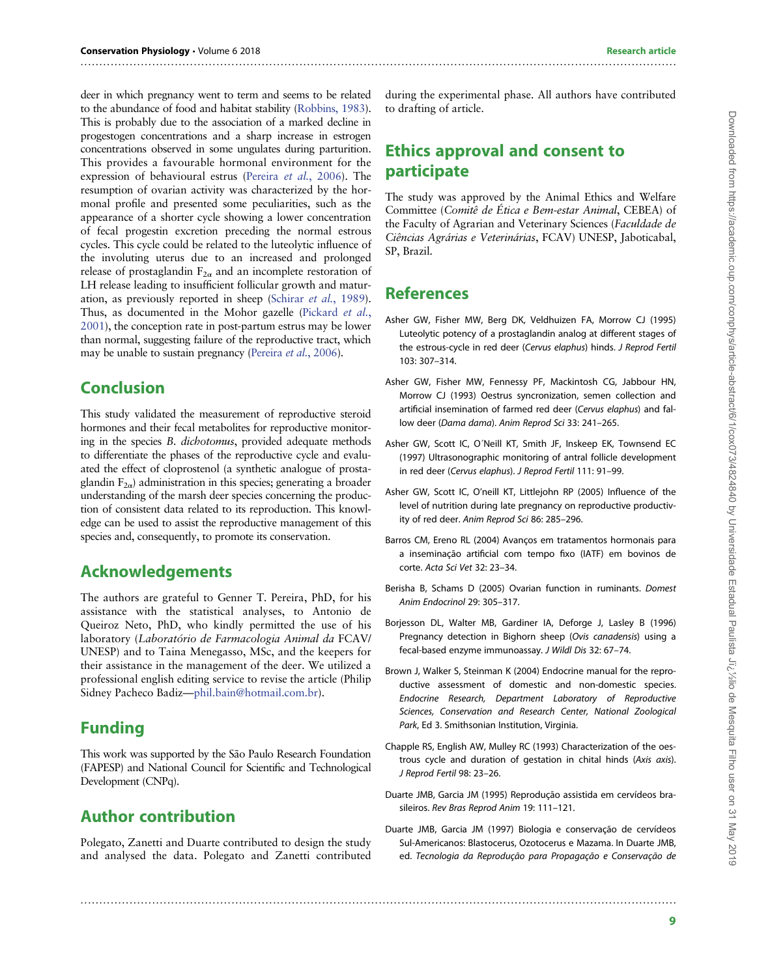<span id="page-8-0"></span>deer in which pregnancy went to term and seems to be related to the abundance of food and habitat stability ([Robbins, 1983](#page-10-0)). This is probably due to the association of a marked decline in progestogen concentrations and a sharp increase in estrogen concentrations observed in some ungulates during parturition. This provides a favourable hormonal environment for the expression of behavioural estrus [\(Pereira](#page-9-0) et al., 2006). The resumption of ovarian activity was characterized by the hormonal profile and presented some peculiarities, such as the appearance of a shorter cycle showing a lower concentration of fecal progestin excretion preceding the normal estrous cycles. This cycle could be related to the luteolytic influence of the involuting uterus due to an increased and prolonged release of prostaglandin  $F_{2\alpha}$  and an incomplete restoration of LH release leading to insufficient follicular growth and maturation, as previously reported in sheep [\(Schirar](#page-10-0) et al., 1989). Thus, as documented in the Mohor gazelle ([Pickard](#page-9-0) et al., [2001\)](#page-9-0), the conception rate in post-partum estrus may be lower than normal, suggesting failure of the reproductive tract, which may be unable to sustain pregnancy [\(Pereira](#page-9-0) et al., 2006).

# Conclusion

This study validated the measurement of reproductive steroid hormones and their fecal metabolites for reproductive monitoring in the species B. dichotomus, provided adequate methods to differentiate the phases of the reproductive cycle and evaluated the effect of cloprostenol (a synthetic analogue of prostaglandin  $F_{2\alpha}$ ) administration in this species; generating a broader understanding of the marsh deer species concerning the production of consistent data related to its reproduction. This knowledge can be used to assist the reproductive management of this species and, consequently, to promote its conservation.

# Acknowledgements

The authors are grateful to Genner T. Pereira, PhD, for his assistance with the statistical analyses, to Antonio de Queiroz Neto, PhD, who kindly permitted the use of his laboratory (Laboratório de Farmacologia Animal da FCAV/ UNESP) and to Taina Menegasso, MSc, and the keepers for their assistance in the management of the deer. We utilized a professional english editing service to revise the article (Philip Sidney Pacheco Badiz—[phil.bain@hotmail.com.br](mailto: phil.bain@hotmail.com.br)).

# Funding

This work was supported by the São Paulo Research Foundation (FAPESP) and National Council for Scientific and Technological Development (CNPq).

# Author contribution

Polegato, Zanetti and Duarte contributed to design the study and analysed the data. Polegato and Zanetti contributed

..............................................................................................................................................................

during the experimental phase. All authors have contributed to drafting of article.

# Ethics approval and consent to participate

The study was approved by the Animal Ethics and Welfare Committee (Comitê de Ética e Bem-estar Animal, CEBEA) of the Faculty of Agrarian and Veterinary Sciences (Faculdade de Ciências Agrárias e Veterinárias, FCAV) UNESP, Jaboticabal, SP, Brazil.

# References

- Asher GW, Fisher MW, Berg DK, Veldhuizen FA, Morrow CJ (1995) Luteolytic potency of a prostaglandin analog at different stages of the estrous-cycle in red deer (Cervus elaphus) hinds. J Reprod Fertil 103: 307–314.
- Asher GW, Fisher MW, Fennessy PF, Mackintosh CG, Jabbour HN, Morrow CJ (1993) Oestrus syncronization, semen collection and artificial insemination of farmed red deer (Cervus elaphus) and fallow deer (Dama dama). Anim Reprod Sci 33: 241–265.
- Asher GW, Scott IC, O´Neill KT, Smith JF, Inskeep EK, Townsend EC (1997) Ultrasonographic monitoring of antral follicle development in red deer (Cervus elaphus). J Reprod Fertil 111: 91–99.
- Asher GW, Scott IC, O'neill KT, Littlejohn RP (2005) Influence of the level of nutrition during late pregnancy on reproductive productivity of red deer. Anim Reprod Sci 86: 285–296.
- Barros CM, Ereno RL (2004) Avanços em tratamentos hormonais para a inseminação artificial com tempo fixo (IATF) em bovinos de corte. Acta Sci Vet 32: 23–34.
- Berisha B, Schams D (2005) Ovarian function in ruminants. Domest Anim Endocrinol 29: 305–317.
- Borjesson DL, Walter MB, Gardiner IA, Deforge J, Lasley B (1996) Pregnancy detection in Bighorn sheep (Ovis canadensis) using a fecal-based enzyme immunoassay. J Wildl Dis 32: 67–74.
- Brown J, Walker S, Steinman K (2004) Endocrine manual for the reproductive assessment of domestic and non-domestic species. Endocrine Research, Department Laboratory of Reproductive Sciences, Conservation and Research Center, National Zoological Park, Ed 3. Smithsonian Institution, Virginia.
- Chapple RS, English AW, Mulley RC (1993) Characterization of the oestrous cycle and duration of gestation in chital hinds (Axis axis). J Reprod Fertil 98: 23–26.
- Duarte JMB, Garcia JM (1995) Reprodução assistida em cervídeos brasileiros. Rev Bras Reprod Anim 19: 111–121.
- Duarte JMB, Garcia JM (1997) Biologia e conservação de cervídeos Sul-Americanos: Blastocerus, Ozotocerus e Mazama. In Duarte JMB, ed. Tecnologia da Reprodução para Propagação e Conservação de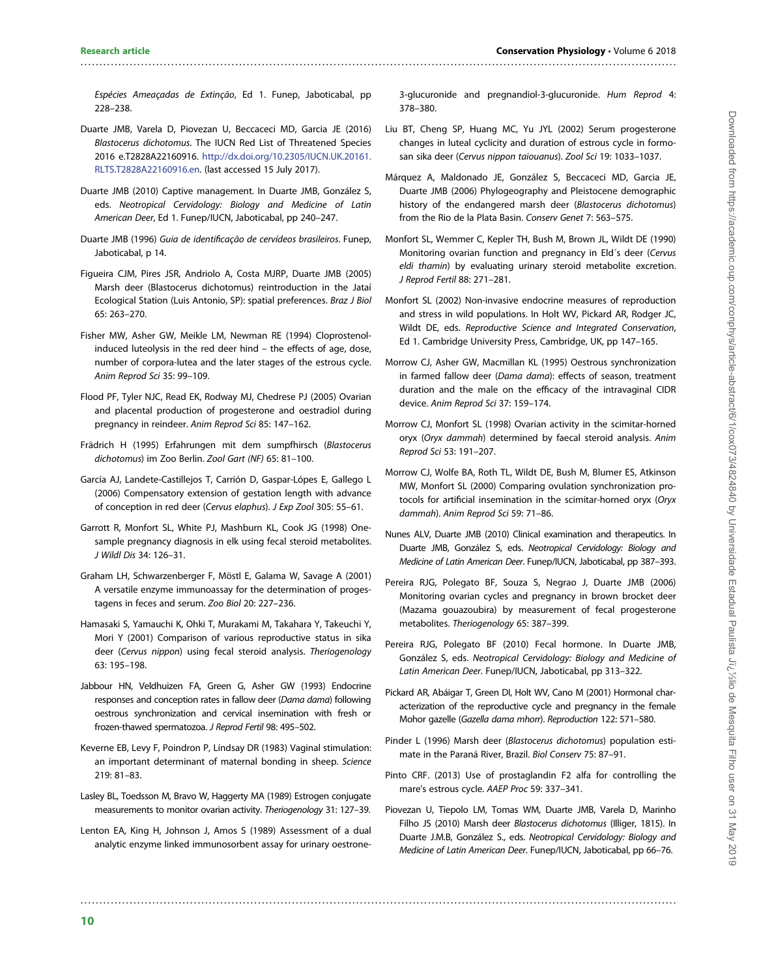Espécies Ameaçadas de Extinção, Ed 1. Funep, Jaboticabal, pp 228–238.

<span id="page-9-0"></span>..............................................................................................................................................................

Duarte JMB, Varela D, Piovezan U, Beccaceci MD, Garcia JE (2016) Blastocerus dichotomus. The IUCN Red List of Threatened Species 2016 e.T2828A22160916. [http://dx.doi.org/10.2305/IUCN.UK.20161.](http://dx.doi.org/10.2305/IUCN.UK.20161.RLTS.T2828A22160916.en) [RLTS.T2828A22160916.en.](http://dx.doi.org/10.2305/IUCN.UK.20161.RLTS.T2828A22160916.en) (last accessed 15 July 2017).

- Duarte JMB (2010) Captive management. In Duarte JMB, González S, eds. Neotropical Cervidology: Biology and Medicine of Latin American Deer, Ed 1. Funep/IUCN, Jaboticabal, pp 240–247.
- Duarte JMB (1996) Guia de identificação de cervídeos brasileiros. Funep, Jaboticabal, p 14.
- Figueira CJM, Pires JSR, Andriolo A, Costa MJRP, Duarte JMB (2005) Marsh deer (Blastocerus dichotomus) reintroduction in the Jataí Ecological Station (Luis Antonio, SP): spatial preferences. Braz J Biol 65: 263–270.
- Fisher MW, Asher GW, Meikle LM, Newman RE (1994) Cloprostenolinduced luteolysis in the red deer hind – the effects of age, dose, number of corpora-lutea and the later stages of the estrous cycle. Anim Reprod Sci 35: 99–109.
- Flood PF, Tyler NJC, Read EK, Rodway MJ, Chedrese PJ (2005) Ovarian and placental production of progesterone and oestradiol during pregnancy in reindeer. Anim Reprod Sci 85: 147–162.
- Frädrich H (1995) Erfahrungen mit dem sumpfhirsch (Blastocerus dichotomus) im Zoo Berlin. Zool Gart (NF) 65: 81–100.
- García AJ, Landete-Castillejos T, Carrión D, Gaspar-Lópes E, Gallego L (2006) Compensatory extension of gestation length with advance of conception in red deer (Cervus elaphus). J Exp Zool 305: 55–61.
- Garrott R, Monfort SL, White PJ, Mashburn KL, Cook JG (1998) Onesample pregnancy diagnosis in elk using fecal steroid metabolites. J Wildl Dis 34: 126–31.
- Graham LH, Schwarzenberger F, Möstl E, Galama W, Savage A (2001) A versatile enzyme immunoassay for the determination of progestagens in feces and serum. Zoo Biol 20: 227–236.
- Hamasaki S, Yamauchi K, Ohki T, Murakami M, Takahara Y, Takeuchi Y, Mori Y (2001) Comparison of various reproductive status in sika deer (Cervus nippon) using fecal steroid analysis. Theriogenology 63: 195–198.
- Jabbour HN, Veldhuizen FA, Green G, Asher GW (1993) Endocrine responses and conception rates in fallow deer (Dama dama) following oestrous synchronization and cervical insemination with fresh or frozen-thawed spermatozoa. J Reprod Fertil 98: 495–502.
- Keverne EB, Levy F, Poindron P, Líndsay DR (1983) Vaginal stimulation: an important determinant of maternal bonding in sheep. Science 219: 81–83.
- Lasley BL, Toedsson M, Bravo W, Haggerty MA (1989) Estrogen conjugate measurements to monitor ovarian activity. Theriogenology 31: 127–39.
- Lenton EA, King H, Johnson J, Amos S (1989) Assessment of a dual analytic enzyme linked immunosorbent assay for urinary oestrone-

..............................................................................................................................................................

3-glucuronide and pregnandiol-3-glucuronide. Hum Reprod 4: 378–380.

- Liu BT, Cheng SP, Huang MC, Yu JYL (2002) Serum progesterone changes in luteal cyclicity and duration of estrous cycle in formosan sika deer (Cervus nippon taiouanus). Zool Sci 19: 1033–1037.
- Márquez A, Maldonado JE, González S, Beccaceci MD, Garcia JE, Duarte JMB (2006) Phylogeography and Pleistocene demographic history of the endangered marsh deer (Blastocerus dichotomus) from the Rio de la Plata Basin. Conserv Genet 7: 563–575.
- Monfort SL, Wemmer C, Kepler TH, Bush M, Brown JL, Wildt DE (1990) Monitoring ovarian function and pregnancy in Eld´s deer (Cervus eldi thamin) by evaluating urinary steroid metabolite excretion. J Reprod Fertil 88: 271–281.
- Monfort SL (2002) Non-invasive endocrine measures of reproduction and stress in wild populations. In Holt WV, Pickard AR, Rodger JC, Wildt DE, eds. Reproductive Science and Integrated Conservation, Ed 1. Cambridge University Press, Cambridge, UK, pp 147–165.
- Morrow CJ, Asher GW, Macmillan KL (1995) Oestrous synchronization in farmed fallow deer (Dama dama): effects of season, treatment duration and the male on the efficacy of the intravaginal CIDR device. Anim Reprod Sci 37: 159–174.
- Morrow CJ, Monfort SL (1998) Ovarian activity in the scimitar-horned oryx (Oryx dammah) determined by faecal steroid analysis. Anim Reprod Sci 53: 191–207.
- Morrow CJ, Wolfe BA, Roth TL, Wildt DE, Bush M, Blumer ES, Atkinson MW, Monfort SL (2000) Comparing ovulation synchronization protocols for artificial insemination in the scimitar-horned oryx (Oryx dammah). Anim Reprod Sci 59: 71–86.
- Nunes ALV, Duarte JMB (2010) Clinical examination and therapeutics. In Duarte JMB, González S, eds. Neotropical Cervidology: Biology and Medicine of Latin American Deer. Funep/IUCN, Jaboticabal, pp 387–393.
- Pereira RJG, Polegato BF, Souza S, Negrao J, Duarte JMB (2006) Monitoring ovarian cycles and pregnancy in brown brocket deer (Mazama gouazoubira) by measurement of fecal progesterone metabolites. Theriogenology 65: 387–399.
- Pereira RJG, Polegato BF (2010) Fecal hormone. In Duarte JMB, González S, eds. Neotropical Cervidology: Biology and Medicine of Latin American Deer. Funep/IUCN, Jaboticabal, pp 313–322.
- Pickard AR, Abáigar T, Green DI, Holt WV, Cano M (2001) Hormonal characterization of the reproductive cycle and pregnancy in the female Mohor gazelle (Gazella dama mhorr). Reproduction 122: 571–580.
- Pinder L (1996) Marsh deer (Blastocerus dichotomus) population estimate in the Paraná River, Brazil. Biol Conserv 75: 87–91.
- Pinto CRF. (2013) Use of prostaglandin F2 alfa for controlling the mare's estrous cycle. AAEP Proc 59: 337–341.
- Piovezan U, Tiepolo LM, Tomas WM, Duarte JMB, Varela D, Marinho Filho JS (2010) Marsh deer Blastocerus dichotomus (Illiger, 1815). In Duarte J.M.B, González S., eds. Neotropical Cervidology: Biology and Medicine of Latin American Deer. Funep/IUCN, Jaboticabal, pp 66–76.